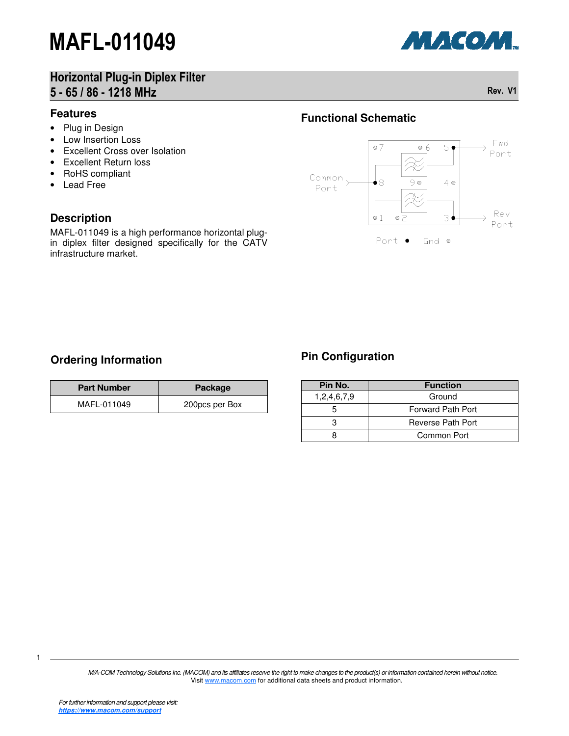## Horizontal Plug-in Diplex Filter 5 - 65 / 86 - 1218 MHz

#### **Features**

- Plug in Design
- Low Insertion Loss
- Excellent Cross over Isolation
- Excellent Return loss
- RoHS compliant
- Lead Free

### **Description**

MAFL-011049 is a high performance horizontal plugin diplex filter designed specifically for the CATV infrastructure market.

# **Functional Schematic**



### **Ordering Information**

| <b>Part Number</b> | Package        |
|--------------------|----------------|
| MAFL-011049        | 200pcs per Box |

### **Pin Configuration**

| Pin No.     | <b>Function</b>   |  |  |
|-------------|-------------------|--|--|
| 1,2,4,6,7,9 | Ground            |  |  |
|             | Forward Path Port |  |  |
|             | Reverse Path Port |  |  |
|             | Common Port       |  |  |

1

МАСОМ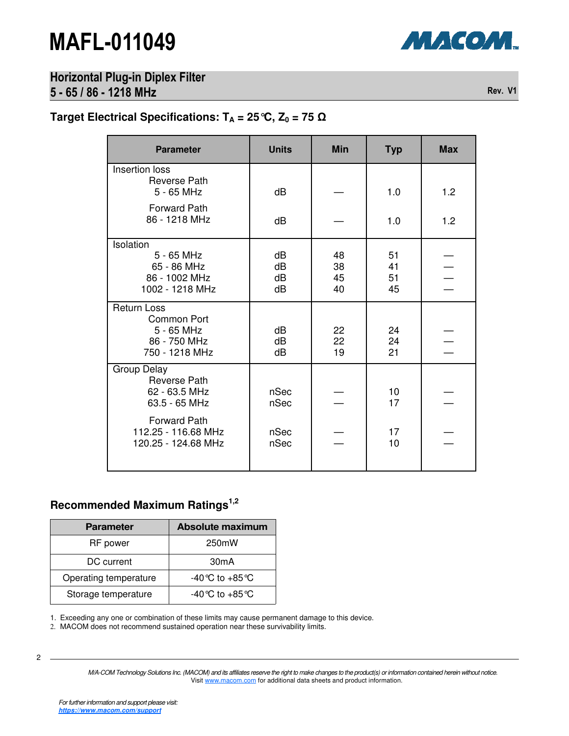

# Horizontal Plug-in Diplex Filter

5 - 65 / 86 - 1218 MHz Rev. V1

# **Target Electrical Specifications: TA = 25°C, Z0 = 75** Ω

| <b>Parameter</b>                                                                  | <b>Units</b>         | <b>Min</b>           | <b>Typ</b>           | <b>Max</b> |
|-----------------------------------------------------------------------------------|----------------------|----------------------|----------------------|------------|
| Insertion loss<br><b>Reverse Path</b><br>5 - 65 MHz                               | dB                   |                      | 1.0                  | 1.2        |
| <b>Forward Path</b><br>86 - 1218 MHz                                              | dB                   |                      | 1.0                  | 1.2        |
| Isolation<br>5 - 65 MHz<br>65 - 86 MHz<br>86 - 1002 MHz<br>1002 - 1218 MHz        | dB<br>dB<br>dB<br>dB | 48<br>38<br>45<br>40 | 51<br>41<br>51<br>45 |            |
| <b>Return Loss</b><br>Common Port<br>5 - 65 MHz<br>86 - 750 MHz<br>750 - 1218 MHz | dB<br>dB<br>dB       | 22<br>22<br>19       | 24<br>24<br>21       |            |
| <b>Group Delay</b><br><b>Reverse Path</b><br>62 - 63.5 MHz<br>63.5 - 65 MHz       | nSec<br>nSec         |                      | 10<br>17             |            |
| <b>Forward Path</b><br>112.25 - 116.68 MHz<br>120.25 - 124.68 MHz                 | nSec<br>nSec         |                      | 17<br>10             |            |

### **Recommended Maximum Ratings1,2**

| <b>Parameter</b>      | <b>Absolute maximum</b>            |
|-----------------------|------------------------------------|
| RF power              | 250mW                              |
| DC current            | 30 <sub>m</sub> A                  |
| Operating temperature | -40 °C to +85 °C                   |
| Storage temperature   | $-40^{\circ}$ C to $+85^{\circ}$ C |

1. Exceeding any one or combination of these limits may cause permanent damage to this device.

2. MACOM does not recommend sustained operation near these survivability limits.

2

M/A-COM Technology Solutions Inc. (MACOM) and its affiliates reserve the right to make changes to the product(s) or information contained herein without notice. Visit www.macom.com for additional data sheets and product information.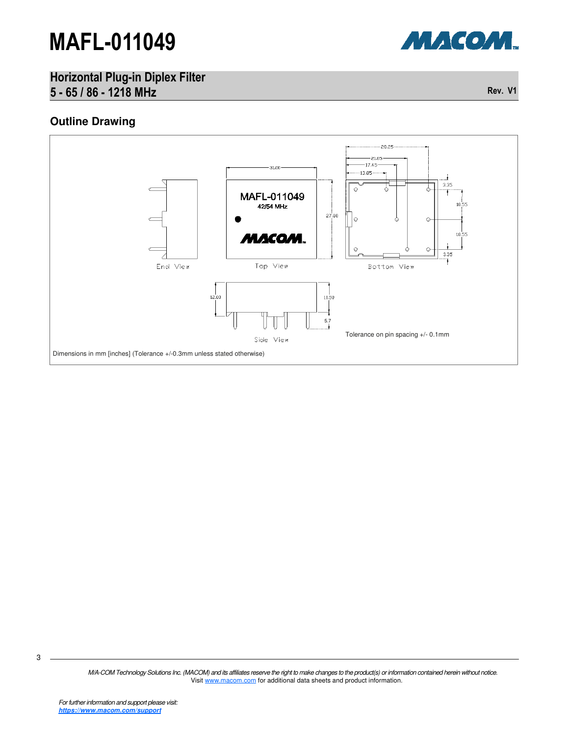

Horizontal Plug-in Diplex Filter 5 - 65 / 86 - 1218 MHz

#### **Outline Drawing**

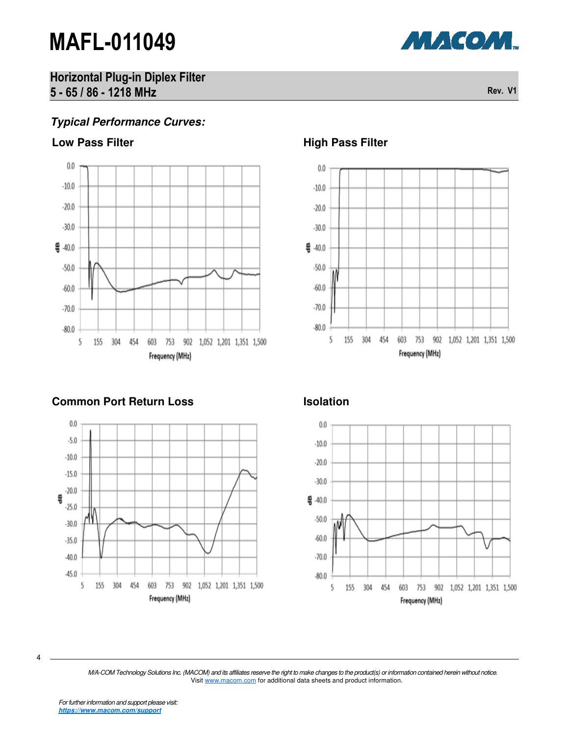

Horizontal Plug-in Diplex Filter 5 - 65 / 86 - 1218 MHz

### **Typical Performance Curves:**



### Low Pass Filter **Mass Filter High Pass Filter**



**Common Port Return Loss Isolation Isolation** 





4

M/A-COM Technology Solutions Inc. (MACOM) and its affiliates reserve the right to make changes to the product(s) or information contained herein without notice. Visit www.macom.com for additional data sheets and product information.